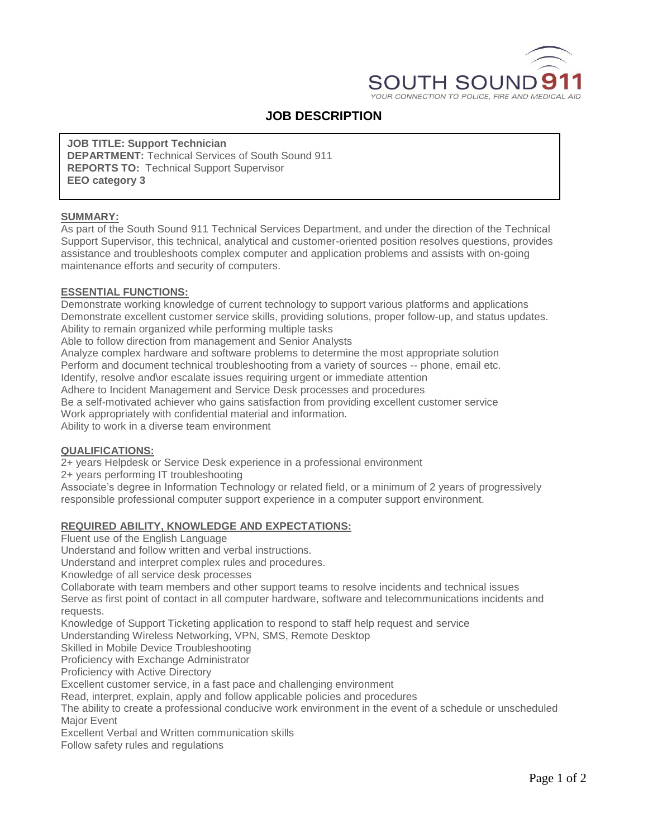

# **JOB DESCRIPTION**

**JOB TITLE: Support Technician DEPARTMENT:** Technical Services of South Sound 911 **REPORTS TO:** Technical Support Supervisor **EEO category 3**

## **SUMMARY:**

As part of the South Sound 911 Technical Services Department, and under the direction of the Technical Support Supervisor, this technical, analytical and customer-oriented position resolves questions, provides assistance and troubleshoots complex computer and application problems and assists with on-going maintenance efforts and security of computers.

## **ESSENTIAL FUNCTIONS:**

Demonstrate working knowledge of current technology to support various platforms and applications Demonstrate excellent customer service skills, providing solutions, proper follow-up, and status updates. Ability to remain organized while performing multiple tasks

Able to follow direction from management and Senior Analysts

Analyze complex hardware and software problems to determine the most appropriate solution Perform and document technical troubleshooting from a variety of sources -- phone, email etc. Identify, resolve and\or escalate issues requiring urgent or immediate attention

Adhere to Incident Management and Service Desk processes and procedures

Be a self-motivated achiever who gains satisfaction from providing excellent customer service Work appropriately with confidential material and information.

Ability to work in a diverse team environment

## **QUALIFICATIONS:**

2+ years Helpdesk or Service Desk experience in a professional environment

2+ years performing IT troubleshooting

Associate's degree in Information Technology or related field, or a minimum of 2 years of progressively responsible professional computer support experience in a computer support environment.

## **REQUIRED ABILITY, KNOWLEDGE AND EXPECTATIONS:**

Fluent use of the English Language

Understand and follow written and verbal instructions.

Understand and interpret complex rules and procedures.

Knowledge of all service desk processes

Collaborate with team members and other support teams to resolve incidents and technical issues Serve as first point of contact in all computer hardware, software and telecommunications incidents and

requests.

Knowledge of Support Ticketing application to respond to staff help request and service

Understanding Wireless Networking, VPN, SMS, Remote Desktop

Skilled in Mobile Device Troubleshooting

Proficiency with Exchange Administrator

Proficiency with Active Directory

Excellent customer service, in a fast pace and challenging environment

Read, interpret, explain, apply and follow applicable policies and procedures

The ability to create a professional conducive work environment in the event of a schedule or unscheduled Major Event

Excellent Verbal and Written communication skills

Follow safety rules and regulations